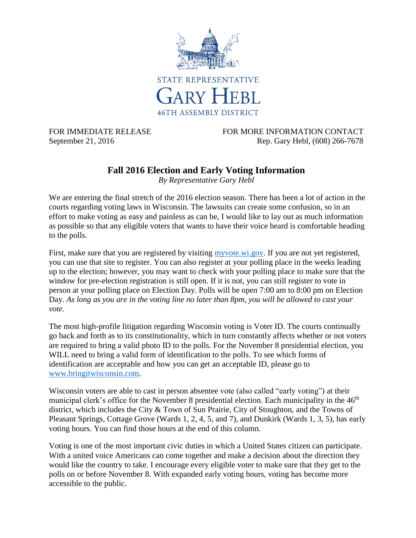

FOR IMMEDIATE RELEASE FOR MORE INFORMATION CONTACT September 21, 2016 **Rep. Gary Hebl**, (608) 266-7678

# **Fall 2016 Election and Early Voting Information**

*By Representative Gary Hebl*

We are entering the final stretch of the 2016 election season. There has been a lot of action in the courts regarding voting laws in Wisconsin. The lawsuits can create some confusion, so in an effort to make voting as easy and painless as can be, I would like to lay out as much information as possible so that any eligible voters that wants to have their voice heard is comfortable heading to the polls.

First, make sure that you are registered by visiting [myvote.wi.gov.](https://myvote.wi.gov/) If you are not yet registered, you can use that site to register. You can also register at your polling place in the weeks leading up to the election; however, you may want to check with your polling place to make sure that the window for pre-election registration is still open. If it is not, you can still register to vote in person at your polling place on Election Day. Polls will be open 7:00 am to 8:00 pm on Election Day. *As long as you are in the voting line no later than 8pm, you will be allowed to cast your vote*.

The most high-profile litigation regarding Wisconsin voting is Voter ID. The courts continually go back and forth as to its constitutionality, which in turn constantly affects whether or not voters are required to bring a valid photo ID to the polls. For the November 8 presidential election, you WILL need to bring a valid form of identification to the polls. To see which forms of identification are acceptable and how you can get an acceptable ID, please go to [www.bringitwisconsin.com.](http://www.bringitwisconsin.com/)

Wisconsin voters are able to cast in person absentee vote (also called "early voting") at their municipal clerk's office for the November 8 presidential election. Each municipality in the  $46<sup>th</sup>$ district, which includes the City & Town of Sun Prairie, City of Stoughton, and the Towns of Pleasant Springs, Cottage Grove (Wards 1, 2, 4, 5, and 7), and Dunkirk (Wards 1, 3, 5), has early voting hours. You can find those hours at the end of this column.

Voting is one of the most important civic duties in which a United States citizen can participate. With a united voice Americans can come together and make a decision about the direction they would like the country to take. I encourage every eligible voter to make sure that they get to the polls on or before November 8. With expanded early voting hours, voting has become more accessible to the public.